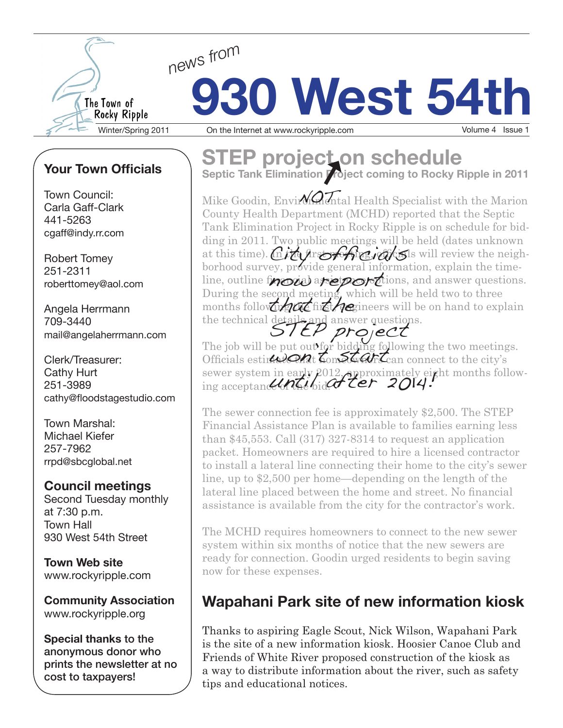

# **930 West 54th** Winter/Spring 2011 On the Internet at www.rockyripple.com Volume 4 Issue 1

### **Your Town Officials**

Town Council: Carla Gaff-Clark 441-5263 cgaff@indy.rr.com

Robert Tomey 251-2311 roberttomey@aol.com

Angela Herrmann 709-3440 mail@angelaherrmann.com

Clerk/Treasurer: Cathy Hurt 251-3989 cathy@floodstagestudio.com

Town Marshal: Michael Kiefer 257-7962 rrpd@sbcglobal.net

#### **Council meetings**

Second Tuesday monthly at 7:30 p.m. Town Hall 930 West 54th Street

**Town Web site** www.rockyripple.com

**Community Association** www.rockyripple.org

**Special thanks** to the anonymous donor who prints the newsletter at no cost to taxpayers!

## **STEP projecton schedule**

**Septic Tank Elimination Project coming to Rocky Ripple in 2011**

Mike Goodin, Environmental Health Specialist with the Marion County Health Department (MCHD) reported that the Septic Tank Elimination Project in Rocky Ripple is on schedule for bidding in 2011. Two public meetings will be held (dates unknown at this time). Chich profile, office, officials will review the neighborhood survey, provide general information, explain the timeline, outline from a strateger of the contractions, experiments on the came During the second meeting, which will be held two to three buting the second including which will be on hand to explain the technical details and answer questions. STEP project

The job will be put out for bidding following the two meetings. The job will be put out to blooms to lowing the two meeting<br>Officials estimated that Longland Can connect to the city's sewer system in early 2012, approximately eight months followsewer system in early  $\mu$ 012, approximately ei $\mu$ <br>ing acceptance of the bid.  $\alpha$  term 2014.

The sewer connection fee is approximately \$2,500. The STEP Financial Assistance Plan is available to families earning less than \$45,553. Call (317) 327-8314 to request an application packet. Homeowners are required to hire a licensed contractor to install a lateral line connecting their home to the city's sewer line, up to \$2,500 per home—depending on the length of the lateral line placed between the home and street. No financial assistance is available from the city for the contractor's work.

The MCHD requires homeowners to connect to the new sewer system within six months of notice that the new sewers are ready for connection. Goodin urged residents to begin saving now for these expenses.

## **Wapahani Park site of new information kiosk**

Thanks to aspiring Eagle Scout, Nick Wilson, Wapahani Park is the site of a new information kiosk. Hoosier Canoe Club and Friends of White River proposed construction of the kiosk as a way to distribute information about the river, such as safety tips and educational notices.